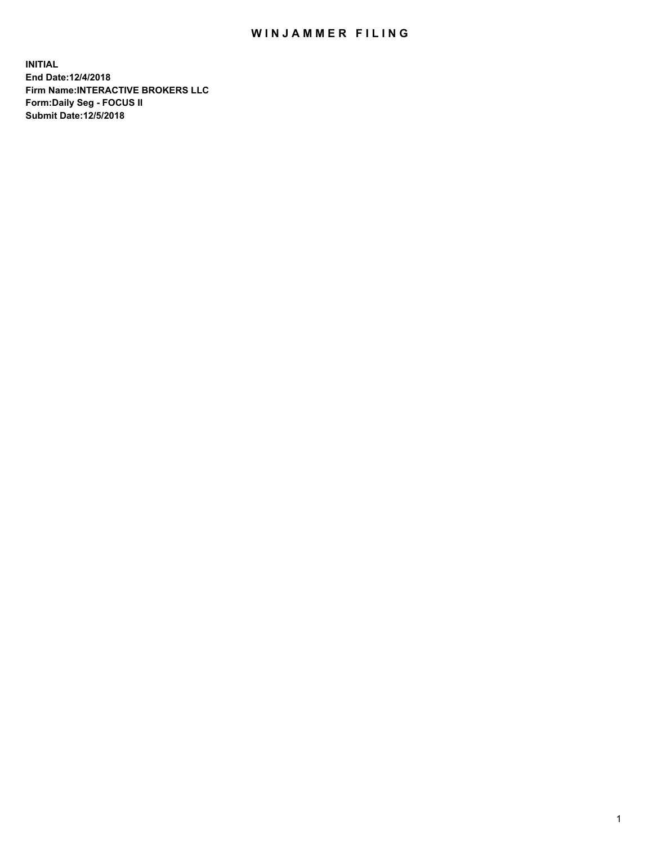## WIN JAMMER FILING

**INITIAL End Date:12/4/2018 Firm Name:INTERACTIVE BROKERS LLC Form:Daily Seg - FOCUS II Submit Date:12/5/2018**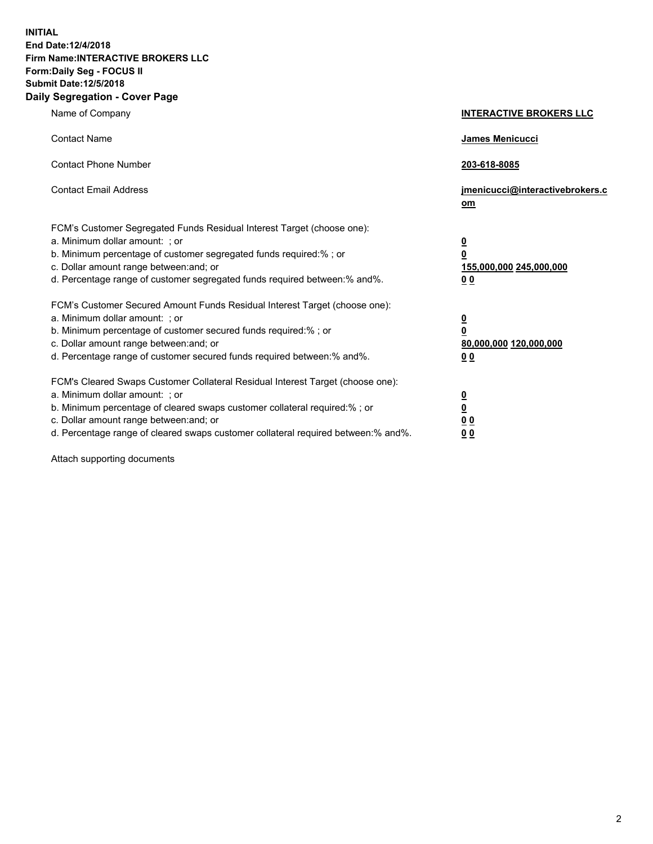**INITIAL End Date:12/4/2018 Firm Name:INTERACTIVE BROKERS LLC Form:Daily Seg - FOCUS II Submit Date:12/5/2018 Daily Segregation - Cover Page**

| Name of Company                                                                                                                                                                                                                                                                                                                | <b>INTERACTIVE BROKERS LLC</b>                                                                  |
|--------------------------------------------------------------------------------------------------------------------------------------------------------------------------------------------------------------------------------------------------------------------------------------------------------------------------------|-------------------------------------------------------------------------------------------------|
| <b>Contact Name</b>                                                                                                                                                                                                                                                                                                            | James Menicucci                                                                                 |
| <b>Contact Phone Number</b>                                                                                                                                                                                                                                                                                                    | 203-618-8085                                                                                    |
| <b>Contact Email Address</b>                                                                                                                                                                                                                                                                                                   | jmenicucci@interactivebrokers.c<br>om                                                           |
| FCM's Customer Segregated Funds Residual Interest Target (choose one):<br>a. Minimum dollar amount: ; or<br>b. Minimum percentage of customer segregated funds required:% ; or<br>c. Dollar amount range between: and; or<br>d. Percentage range of customer segregated funds required between:% and%.                         | $\overline{\mathbf{0}}$<br>$\overline{\mathbf{0}}$<br>155,000,000 245,000,000<br>0 <sub>0</sub> |
| FCM's Customer Secured Amount Funds Residual Interest Target (choose one):<br>a. Minimum dollar amount: ; or<br>b. Minimum percentage of customer secured funds required:% ; or<br>c. Dollar amount range between: and; or<br>d. Percentage range of customer secured funds required between:% and%.                           | $\overline{\mathbf{0}}$<br>0<br>80,000,000 120,000,000<br>0 <sub>0</sub>                        |
| FCM's Cleared Swaps Customer Collateral Residual Interest Target (choose one):<br>a. Minimum dollar amount: ; or<br>b. Minimum percentage of cleared swaps customer collateral required:% ; or<br>c. Dollar amount range between: and; or<br>d. Percentage range of cleared swaps customer collateral required between:% and%. | $\overline{\mathbf{0}}$<br><u>0</u><br>$\underline{0}$ $\underline{0}$<br>00                    |

Attach supporting documents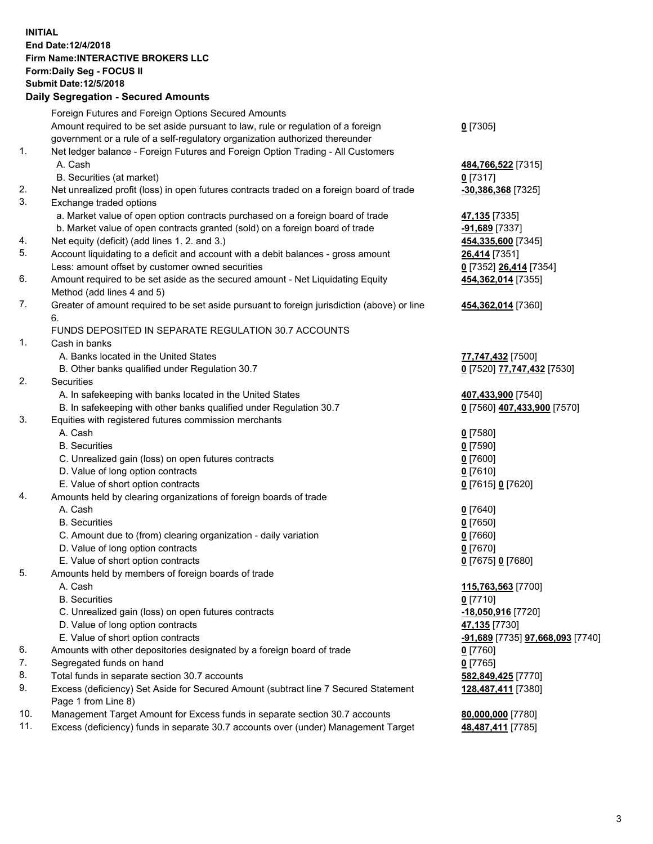## **INITIAL End Date:12/4/2018 Firm Name:INTERACTIVE BROKERS LLC Form:Daily Seg - FOCUS II Submit Date:12/5/2018 Daily Segregation - Secured Amounts**

|          | Daily Jegi egation - Jeculeu Alliounts                                                                                               |                                          |
|----------|--------------------------------------------------------------------------------------------------------------------------------------|------------------------------------------|
|          | Foreign Futures and Foreign Options Secured Amounts                                                                                  |                                          |
|          | Amount required to be set aside pursuant to law, rule or regulation of a foreign                                                     | $0$ [7305]                               |
|          | government or a rule of a self-regulatory organization authorized thereunder                                                         |                                          |
| 1.       | Net ledger balance - Foreign Futures and Foreign Option Trading - All Customers                                                      |                                          |
|          | A. Cash                                                                                                                              | 484,766,522 [7315]                       |
|          | B. Securities (at market)                                                                                                            | $0$ [7317]                               |
| 2.       | Net unrealized profit (loss) in open futures contracts traded on a foreign board of trade                                            | -30,386,368 [7325]                       |
| 3.       | Exchange traded options                                                                                                              |                                          |
|          | a. Market value of open option contracts purchased on a foreign board of trade                                                       | 47,135 [7335]                            |
|          | b. Market value of open contracts granted (sold) on a foreign board of trade                                                         | -91,689 [7337]                           |
| 4.       | Net equity (deficit) (add lines 1.2. and 3.)                                                                                         | 454,335,600 [7345]                       |
| 5.       | Account liquidating to a deficit and account with a debit balances - gross amount                                                    | 26,414 [7351]                            |
|          | Less: amount offset by customer owned securities                                                                                     | 0 [7352] 26,414 [7354]                   |
| 6.       | Amount required to be set aside as the secured amount - Net Liquidating Equity                                                       | 454,362,014 [7355]                       |
|          | Method (add lines 4 and 5)                                                                                                           |                                          |
| 7.       | Greater of amount required to be set aside pursuant to foreign jurisdiction (above) or line                                          | 454,362,014 [7360]                       |
|          | 6.                                                                                                                                   |                                          |
|          | FUNDS DEPOSITED IN SEPARATE REGULATION 30.7 ACCOUNTS                                                                                 |                                          |
| 1.       | Cash in banks                                                                                                                        |                                          |
|          | A. Banks located in the United States                                                                                                | 77,747,432 [7500]                        |
|          | B. Other banks qualified under Regulation 30.7                                                                                       | 0 [7520] 77,747,432 [7530]               |
| 2.       | Securities                                                                                                                           |                                          |
|          | A. In safekeeping with banks located in the United States                                                                            | 407,433,900 [7540]                       |
|          | B. In safekeeping with other banks qualified under Regulation 30.7                                                                   | 0 [7560] 407,433,900 [7570]              |
| 3.       | Equities with registered futures commission merchants                                                                                |                                          |
|          | A. Cash                                                                                                                              | $0$ [7580]                               |
|          | <b>B.</b> Securities                                                                                                                 | $0$ [7590]                               |
|          | C. Unrealized gain (loss) on open futures contracts                                                                                  | $0$ [7600]                               |
|          | D. Value of long option contracts                                                                                                    | $0$ [7610]                               |
|          | E. Value of short option contracts                                                                                                   | 0 [7615] 0 [7620]                        |
| 4.       | Amounts held by clearing organizations of foreign boards of trade                                                                    |                                          |
|          | A. Cash                                                                                                                              | $0$ [7640]                               |
|          | <b>B.</b> Securities                                                                                                                 | $0$ [7650]                               |
|          | C. Amount due to (from) clearing organization - daily variation                                                                      | $0$ [7660]                               |
|          | D. Value of long option contracts                                                                                                    | $0$ [7670]                               |
|          | E. Value of short option contracts                                                                                                   | 0 [7675] 0 [7680]                        |
| 5.       | Amounts held by members of foreign boards of trade                                                                                   |                                          |
|          | A. Cash                                                                                                                              | 115,763,563 [7700]                       |
|          | <b>B.</b> Securities                                                                                                                 | $0$ [7710]                               |
|          | C. Unrealized gain (loss) on open futures contracts                                                                                  | -18,050,916 [7720]                       |
|          | D. Value of long option contracts                                                                                                    | 47,135 [7730]                            |
|          | E. Value of short option contracts                                                                                                   | -91,689 [7735] 97,668,093 [7740]         |
| 6.<br>7. | Amounts with other depositories designated by a foreign board of trade                                                               | 0 [7760]                                 |
| 8.       | Segregated funds on hand                                                                                                             | $0$ [7765]                               |
| 9.       | Total funds in separate section 30.7 accounts<br>Excess (deficiency) Set Aside for Secured Amount (subtract line 7 Secured Statement | 582,849,425 [7770]<br>128,487,411 [7380] |
|          | Page 1 from Line 8)                                                                                                                  |                                          |
| 10.      | Management Target Amount for Excess funds in separate section 30.7 accounts                                                          | 80,000,000 [7780]                        |
| 11.      | Excess (deficiency) funds in separate 30.7 accounts over (under) Management Target                                                   | 48,487,411 [7785]                        |
|          |                                                                                                                                      |                                          |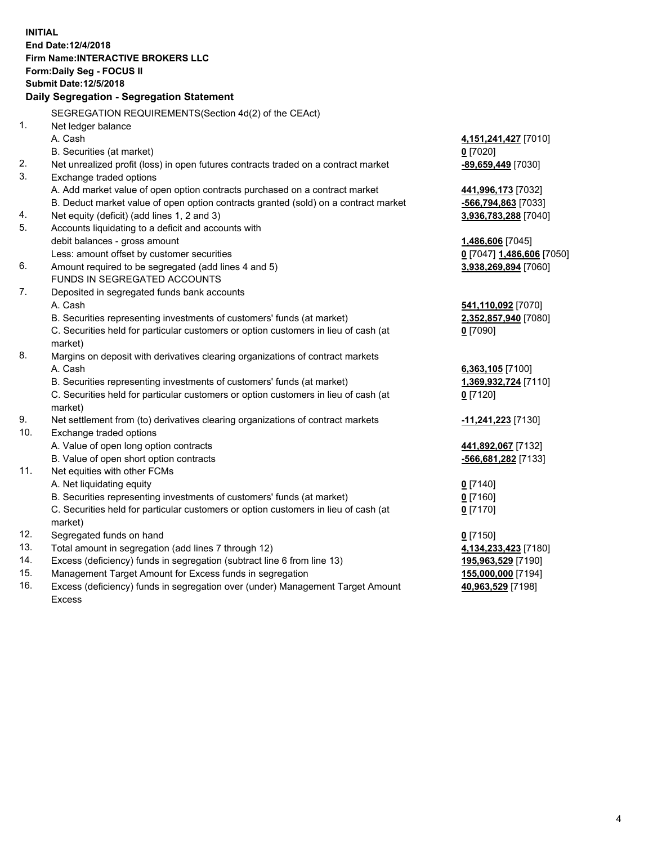**INITIAL End Date:12/4/2018 Firm Name:INTERACTIVE BROKERS LLC Form:Daily Seg - FOCUS II Submit Date:12/5/2018 Daily Segregation - Segregation Statement** SEGREGATION REQUIREMENTS(Section 4d(2) of the CEAct) 1. Net ledger balance A. Cash **4,151,241,427** [7010] B. Securities (at market) **0** [7020] 2. Net unrealized profit (loss) in open futures contracts traded on a contract market **-89,659,449** [7030] 3. Exchange traded options A. Add market value of open option contracts purchased on a contract market **441,996,173** [7032] B. Deduct market value of open option contracts granted (sold) on a contract market **-566,794,863** [7033] 4. Net equity (deficit) (add lines 1, 2 and 3) **3,936,783,288** [7040] 5. Accounts liquidating to a deficit and accounts with debit balances - gross amount **1,486,606** [7045] Less: amount offset by customer securities **0** [7047] **1,486,606** [7050] 6. Amount required to be segregated (add lines 4 and 5) **3,938,269,894** [7060] FUNDS IN SEGREGATED ACCOUNTS 7. Deposited in segregated funds bank accounts A. Cash **541,110,092** [7070] B. Securities representing investments of customers' funds (at market) **2,352,857,940** [7080] C. Securities held for particular customers or option customers in lieu of cash (at market) **0** [7090] 8. Margins on deposit with derivatives clearing organizations of contract markets A. Cash **6,363,105** [7100] B. Securities representing investments of customers' funds (at market) **1,369,932,724** [7110] C. Securities held for particular customers or option customers in lieu of cash (at market) **0** [7120] 9. Net settlement from (to) derivatives clearing organizations of contract markets **-11,241,223** [7130] 10. Exchange traded options A. Value of open long option contracts **441,892,067** [7132] B. Value of open short option contracts **-566,681,282** [7133] 11. Net equities with other FCMs A. Net liquidating equity **0** [7140] B. Securities representing investments of customers' funds (at market) **0** [7160] C. Securities held for particular customers or option customers in lieu of cash (at market) **0** [7170] 12. Segregated funds on hand **0** [7150] 13. Total amount in segregation (add lines 7 through 12) **4,134,233,423** [7180] 14. Excess (deficiency) funds in segregation (subtract line 6 from line 13) **195,963,529** [7190] 15. Management Target Amount for Excess funds in segregation **155,000,000** [7194] 16. Excess (deficiency) funds in segregation over (under) Management Target Amount **40,963,529** [7198]

Excess